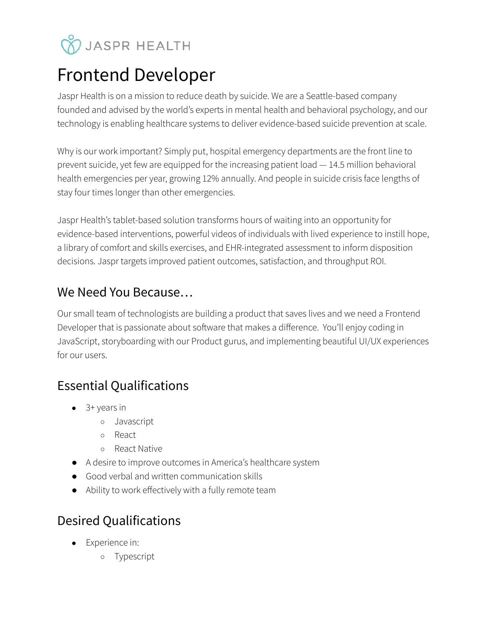# **V** JASPR HEALTH

## Frontend Developer

Jaspr Health is on a mission to reduce death by suicide. We are a Seattle-based company founded and advised by the world's experts in mental health and behavioral psychology, and our technology is enabling healthcare systems to deliver evidence-based suicide prevention at scale.

Why is our work important? Simply put, hospital emergency departments are the front line to prevent suicide, yet few are equipped for the increasing patient load — 14.5 million behavioral health emergencies per year, growing 12% annually. And people in suicide crisis face lengths of stay four times longer than other emergencies.

Jaspr Health's tablet-based solution transforms hours of waiting into an opportunity for evidence-based interventions, powerful videos of individuals with lived experience to instill hope, a library of comfort and skills exercises, and EHR-integrated assessment to inform disposition decisions. Jaspr targets improved patient outcomes, satisfaction, and throughput ROI.

#### We Need You Because…

Our small team of technologists are building a product that saves lives and we need a Frontend Developer that is passionate about software that makes a difference. You'll enjoy coding in JavaScript, storyboarding with our Product gurus, and implementing beautiful UI/UX experiences for our users.

#### Essential Qualifications

- $\bullet$  3+ years in
	- Javascript
	- React
	- React Native
- A desire to improve outcomes in America's healthcare system
- Good verbal and written communication skills
- Ability to work effectively with a fully remote team

### Desired Qualifications

- Experience in:
	- Typescript